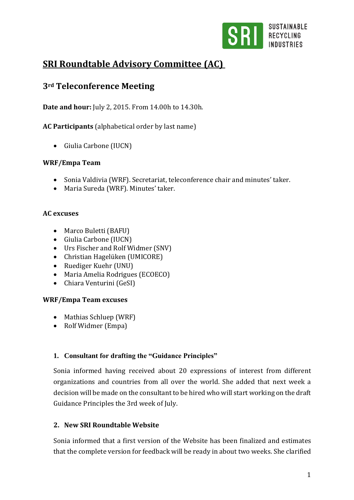

# **SRI Roundtable Advisory Committee (AC)**

## **3rd Teleconference Meeting**

**Date and hour:** July 2, 2015. From 14.00h to 14.30h.

**AC Participants** (alphabetical order by last name)

Giulia Carbone (IUCN)

## **WRF/Empa Team**

- Sonia Valdivia (WRF). Secretariat, teleconference chair and minutes' taker.
- Maria Sureda (WRF). Minutes' taker.

## **AC excuses**

- Marco Buletti (BAFU)
- Giulia Carbone (IUCN)
- Urs Fischer and Rolf Widmer (SNV)
- Christian Hagelüken (UMICORE)
- Ruediger Kuehr (UNU)
- Maria Amelia Rodrigues (ECOECO)
- Chiara Venturini (GeSI)

## **WRF/Empa Team excuses**

- Mathias Schluep (WRF)
- Rolf Widmer (Empa)

## **1. Consultant for drafting the "Guidance Principles"**

Sonia informed having received about 20 expressions of interest from different organizations and countries from all over the world. She added that next week a decision will be made on the consultant to be hired who will start working on the draft Guidance Principles the 3rd week of July.

## **2. New SRI Roundtable Website**

Sonia informed that a first version of the Website has been finalized and estimates that the complete version for feedback will be ready in about two weeks. She clarified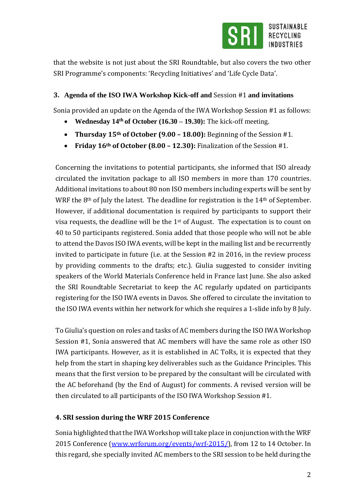

that the website is not just about the SRI Roundtable, but also covers the two other SRI Programme's components: 'Recycling Initiatives' and 'Life Cycle Data'.

### **3. Agenda of the ISO IWA Workshop Kick-off and** Session #1 **and invitations**

Sonia provided an update on the Agenda of the IWA Workshop Session #1 as follows:

- **Wednesday 14th of October (16.30 – 19.30):** The kick-off meeting.
- **Thursday 15th of October (9.00 – 18.00):** Beginning of the Session #1.
- **Friday 16th of October (8.00 – 12.30):** Finalization of the Session #1.

Concerning the invitations to potential participants, she informed that ISO already circulated the invitation package to all ISO members in more than 170 countries. Additional invitations to about 80 non ISO members including experts will be sent by WRF the 8<sup>th</sup> of July the latest. The deadline for registration is the 14<sup>th</sup> of September. However, if additional documentation is required by participants to support their visa requests, the deadline will be the 1st of August. The expectation is to count on 40 to 50 participants registered. Sonia added that those people who will not be able to attend the Davos ISO IWA events, will be kept in the mailing list and be recurrently invited to participate in future (i.e. at the Session #2 in 2016, in the review process by providing comments to the drafts; etc.). Giulia suggested to consider inviting speakers of the World Materials Conference held in France last June. She also asked the SRI Roundtable Secretariat to keep the AC regularly updated on participants registering for the ISO IWA events in Davos. She offered to circulate the invitation to the ISO IWA events within her network for which she requires a 1-slide info by 8 July.

To Giulia's question on roles and tasks of AC members during the ISO IWA Workshop Session #1, Sonia answered that AC members will have the same role as other ISO IWA participants. However, as it is established in AC ToRs, it is expected that they help from the start in shaping key deliverables such as the Guidance Principles. This means that the first version to be prepared by the consultant will be circulated with the AC beforehand (by the End of August) for comments. A revised version will be then circulated to all participants of the ISO IWA Workshop Session #1.

## **4. SRI session during the WRF 2015 Conference**

Sonia highlighted that the IWA Workshop will take place in conjunction with the WRF 2015 Conference [\(www.wrforum.org/events/wrf-2015/\)](http://www.wrforum.org/events/wrf-2015/), from 12 to 14 October. In this regard, she specially invited AC members to the SRI session to be held during the